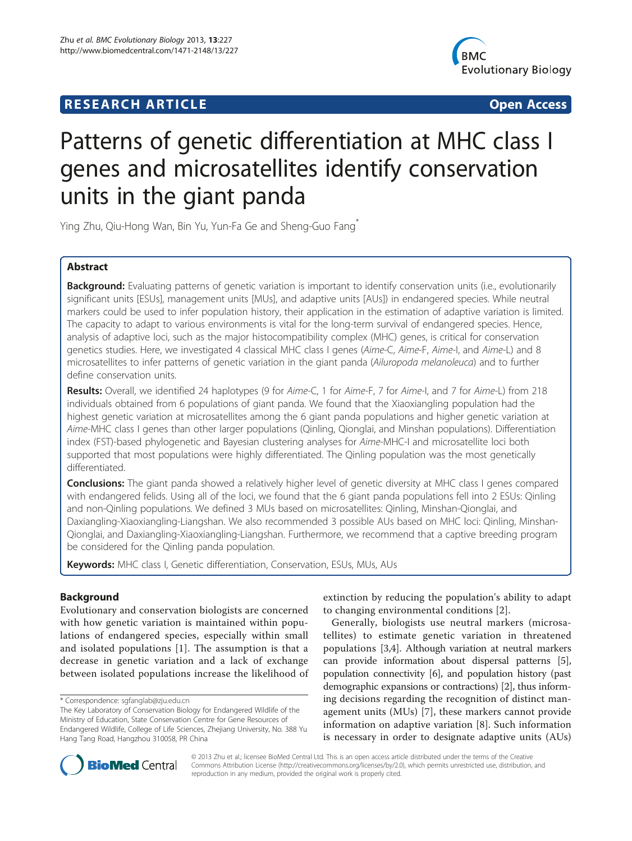## **RESEARCH ARTICLE Example 2014 CONSIDERING CONSIDERING CONSIDERING CONSIDERING CONSIDERING CONSIDERING CONSIDERING CONSIDERING CONSIDERING CONSIDERING CONSIDERING CONSIDERING CONSIDERING CONSIDERING CONSIDERING CONSIDE**



# Patterns of genetic differentiation at MHC class I genes and microsatellites identify conservation units in the giant panda

Ying Zhu, Qiu-Hong Wan, Bin Yu, Yun-Fa Ge and Sheng-Guo Fang\*

## Abstract

Background: Evaluating patterns of genetic variation is important to identify conservation units (i.e., evolutionarily significant units [ESUs], management units [MUs], and adaptive units [AUs]) in endangered species. While neutral markers could be used to infer population history, their application in the estimation of adaptive variation is limited. The capacity to adapt to various environments is vital for the long-term survival of endangered species. Hence, analysis of adaptive loci, such as the major histocompatibility complex (MHC) genes, is critical for conservation genetics studies. Here, we investigated 4 classical MHC class I genes (Aime-C, Aime-F, Aime-I, and Aime-L) and 8 microsatellites to infer patterns of genetic variation in the giant panda (Ailuropoda melanoleuca) and to further define conservation units.

Results: Overall, we identified 24 haplotypes (9 for Aime-C, 1 for Aime-F, 7 for Aime-I, and 7 for Aime-L) from 218 individuals obtained from 6 populations of giant panda. We found that the Xiaoxiangling population had the highest genetic variation at microsatellites among the 6 giant panda populations and higher genetic variation at Aime-MHC class I genes than other larger populations (Qinling, Qionglai, and Minshan populations). Differentiation index (FST)-based phylogenetic and Bayesian clustering analyses for Aime-MHC-I and microsatellite loci both supported that most populations were highly differentiated. The Qinling population was the most genetically differentiated.

**Conclusions:** The giant panda showed a relatively higher level of genetic diversity at MHC class I genes compared with endangered felids. Using all of the loci, we found that the 6 giant panda populations fell into 2 ESUs: Qinling and non-Qinling populations. We defined 3 MUs based on microsatellites: Qinling, Minshan-Qionglai, and Daxiangling-Xiaoxiangling-Liangshan. We also recommended 3 possible AUs based on MHC loci: Qinling, Minshan-Qionglai, and Daxiangling-Xiaoxiangling-Liangshan. Furthermore, we recommend that a captive breeding program be considered for the Qinling panda population.

Keywords: MHC class I, Genetic differentiation, Conservation, ESUs, MUs, AUs

## Background

Evolutionary and conservation biologists are concerned with how genetic variation is maintained within populations of endangered species, especially within small and isolated populations [\[1\]](#page-8-0). The assumption is that a decrease in genetic variation and a lack of exchange between isolated populations increase the likelihood of

\* Correspondence: [sgfanglab@zju.edu.cn](mailto:sgfanglab@zju.edu.cn)

extinction by reducing the population's ability to adapt to changing environmental conditions [[2\]](#page-8-0).

Generally, biologists use neutral markers (microsatellites) to estimate genetic variation in threatened populations [[3](#page-8-0),[4](#page-8-0)]. Although variation at neutral markers can provide information about dispersal patterns [[5](#page-8-0)], population connectivity [[6](#page-8-0)], and population history (past demographic expansions or contractions) [\[2](#page-8-0)], thus informing decisions regarding the recognition of distinct management units (MUs) [\[7](#page-8-0)], these markers cannot provide information on adaptive variation [[8](#page-8-0)]. Such information is necessary in order to designate adaptive units (AUs)



© 2013 Zhu et al.; licensee BioMed Central Ltd. This is an open access article distributed under the terms of the Creative Commons Attribution License [\(http://creativecommons.org/licenses/by/2.0\)](http://creativecommons.org/licenses/by/2.0), which permits unrestricted use, distribution, and reproduction in any medium, provided the original work is properly cited.

The Key Laboratory of Conservation Biology for Endangered Wildlife of the Ministry of Education, State Conservation Centre for Gene Resources of Endangered Wildlife, College of Life Sciences, Zhejiang University, No. 388 Yu Hang Tang Road, Hangzhou 310058, PR China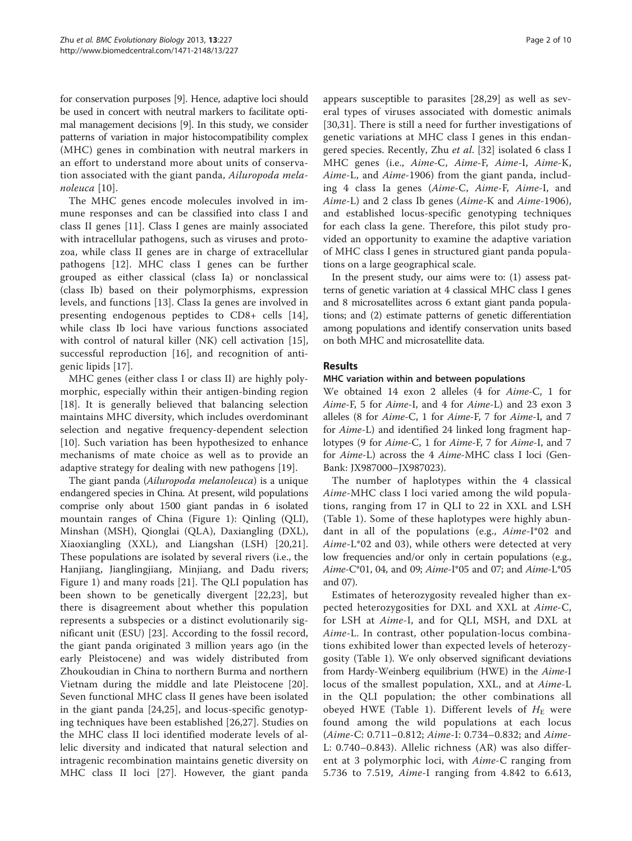for conservation purposes [[9\]](#page-8-0). Hence, adaptive loci should be used in concert with neutral markers to facilitate optimal management decisions [[9](#page-8-0)]. In this study, we consider patterns of variation in major histocompatibility complex (MHC) genes in combination with neutral markers in an effort to understand more about units of conservation associated with the giant panda, Ailuropoda melanoleuca [\[10\]](#page-8-0).

The MHC genes encode molecules involved in immune responses and can be classified into class I and class II genes [[11\]](#page-8-0). Class I genes are mainly associated with intracellular pathogens, such as viruses and protozoa, while class II genes are in charge of extracellular pathogens [[12\]](#page-8-0). MHC class I genes can be further grouped as either classical (class Ia) or nonclassical (class Ib) based on their polymorphisms, expression levels, and functions [\[13\]](#page-8-0). Class Ia genes are involved in presenting endogenous peptides to CD8+ cells [[14](#page-8-0)], while class Ib loci have various functions associated with control of natural killer (NK) cell activation [\[15](#page-8-0)], successful reproduction [\[16](#page-8-0)], and recognition of antigenic lipids [[17\]](#page-8-0).

MHC genes (either class I or class II) are highly polymorphic, especially within their antigen-binding region [[18\]](#page-8-0). It is generally believed that balancing selection maintains MHC diversity, which includes overdominant selection and negative frequency-dependent selection [[10\]](#page-8-0). Such variation has been hypothesized to enhance mechanisms of mate choice as well as to provide an adaptive strategy for dealing with new pathogens [\[19](#page-8-0)].

The giant panda (Ailuropoda melanoleuca) is a unique endangered species in China. At present, wild populations comprise only about 1500 giant pandas in 6 isolated mountain ranges of China (Figure [1\)](#page-2-0): Qinling (QLI), Minshan (MSH), Qionglai (QLA), Daxiangling (DXL), Xiaoxiangling (XXL), and Liangshan (LSH) [[20,21](#page-8-0)]. These populations are isolated by several rivers (i.e., the Hanjiang, Jianglingjiang, Minjiang, and Dadu rivers; Figure [1](#page-2-0)) and many roads [[21\]](#page-8-0). The QLI population has been shown to be genetically divergent [[22,23](#page-8-0)], but there is disagreement about whether this population represents a subspecies or a distinct evolutionarily significant unit (ESU) [[23](#page-8-0)]. According to the fossil record, the giant panda originated 3 million years ago (in the early Pleistocene) and was widely distributed from Zhoukoudian in China to northern Burma and northern Vietnam during the middle and late Pleistocene [[20](#page-8-0)]. Seven functional MHC class II genes have been isolated in the giant panda [[24,25\]](#page-8-0), and locus-specific genotyping techniques have been established [\[26](#page-8-0),[27\]](#page-8-0). Studies on the MHC class II loci identified moderate levels of allelic diversity and indicated that natural selection and intragenic recombination maintains genetic diversity on MHC class II loci [[27\]](#page-8-0). However, the giant panda

appears susceptible to parasites [[28,29\]](#page-8-0) as well as several types of viruses associated with domestic animals [[30,31](#page-8-0)]. There is still a need for further investigations of genetic variations at MHC class I genes in this endan-gered species. Recently, Zhu et al. [\[32\]](#page-9-0) isolated 6 class I MHC genes (i.e., Aime-C, Aime-F, Aime-I, Aime-K, Aime-L, and Aime-1906) from the giant panda, including 4 class Ia genes (Aime-C, Aime-F, Aime-I, and Aime-L) and 2 class Ib genes (Aime-K and Aime-1906), and established locus-specific genotyping techniques for each class Ia gene. Therefore, this pilot study provided an opportunity to examine the adaptive variation of MHC class I genes in structured giant panda populations on a large geographical scale.

In the present study, our aims were to: (1) assess patterns of genetic variation at 4 classical MHC class I genes and 8 microsatellites across 6 extant giant panda populations; and (2) estimate patterns of genetic differentiation among populations and identify conservation units based on both MHC and microsatellite data.

## Results

#### MHC variation within and between populations

We obtained 14 exon 2 alleles (4 for Aime-C, 1 for Aime-F, 5 for Aime-I, and 4 for Aime-L) and 23 exon 3 alleles (8 for Aime-C, 1 for Aime-F, 7 for Aime-I, and 7 for Aime-L) and identified 24 linked long fragment haplotypes (9 for Aime-C, 1 for Aime-F, 7 for Aime-I, and 7 for Aime-L) across the 4 Aime-MHC class I loci (Gen-Bank: JX987000–JX987023).

The number of haplotypes within the 4 classical Aime-MHC class I loci varied among the wild populations, ranging from 17 in QLI to 22 in XXL and LSH (Table [1\)](#page-3-0). Some of these haplotypes were highly abundant in all of the populations (e.g., Aime-I\*02 and Aime-L\*02 and 03), while others were detected at very low frequencies and/or only in certain populations (e.g., Aime-C\*01, 04, and 09; Aime-I\*05 and 07; and Aime-L\*05 and 07).

Estimates of heterozygosity revealed higher than expected heterozygosities for DXL and XXL at Aime-C, for LSH at Aime-I, and for QLI, MSH, and DXL at Aime-L. In contrast, other population-locus combinations exhibited lower than expected levels of heterozygosity (Table [1\)](#page-3-0). We only observed significant deviations from Hardy-Weinberg equilibrium (HWE) in the Aime-I locus of the smallest population, XXL, and at Aime-L in the QLI population; the other combinations all obeyed HWE (Table [1](#page-3-0)). Different levels of  $H_{\rm E}$  were found among the wild populations at each locus (Aime-C: 0.711–0.812; Aime-I: 0.734–0.832; and Aime-L: 0.740–0.843). Allelic richness (AR) was also different at 3 polymorphic loci, with Aime-C ranging from 5.736 to 7.519, Aime-I ranging from 4.842 to 6.613,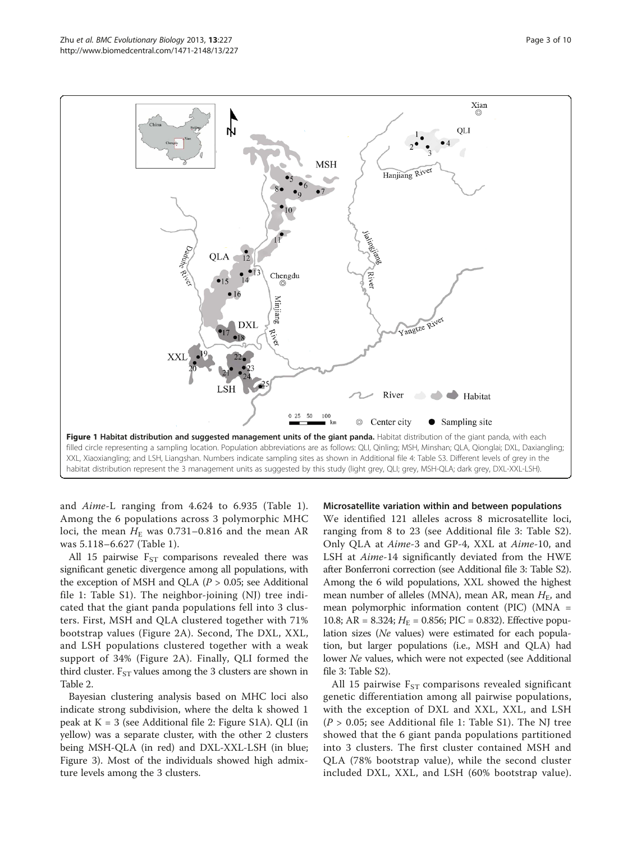<span id="page-2-0"></span>

and Aime-L ranging from 4.624 to 6.935 (Table [1](#page-3-0)). Among the 6 populations across 3 polymorphic MHC loci, the mean  $H<sub>E</sub>$  was 0.731–0.816 and the mean AR was 5.118–6.627 (Table [1\)](#page-3-0).

All 15 pairwise  $F_{ST}$  comparisons revealed there was significant genetic divergence among all populations, with the exception of MSH and QLA ( $P > 0.05$ ; see Additional file [1:](#page-8-0) Table S1). The neighbor-joining (NJ) tree indicated that the giant panda populations fell into 3 clusters. First, MSH and QLA clustered together with 71% bootstrap values (Figure [2A](#page-4-0)). Second, The DXL, XXL, and LSH populations clustered together with a weak support of 34% (Figure [2](#page-4-0)A). Finally, QLI formed the third cluster.  $F_{ST}$  values among the 3 clusters are shown in Table [2.](#page-4-0)

Bayesian clustering analysis based on MHC loci also indicate strong subdivision, where the delta k showed 1 peak at K = 3 (see Additional file [2:](#page-8-0) Figure S1A). QLI (in yellow) was a separate cluster, with the other 2 clusters being MSH-QLA (in red) and DXL-XXL-LSH (in blue; Figure [3\)](#page-5-0). Most of the individuals showed high admixture levels among the 3 clusters.

#### Microsatellite variation within and between populations

We identified 121 alleles across 8 microsatellite loci, ranging from 8 to 23 (see Additional file [3](#page-8-0): Table S2). Only QLA at Aime-3 and GP-4, XXL at Aime-10, and LSH at Aime-14 significantly deviated from the HWE after Bonferroni correction (see Additional file [3:](#page-8-0) Table S2). Among the 6 wild populations, XXL showed the highest mean number of alleles (MNA), mean AR, mean  $H<sub>E</sub>$ , and mean polymorphic information content (PIC) (MNA = 10.8; AR = 8.324;  $H_E$  = 0.856; PIC = 0.832). Effective population sizes (Ne values) were estimated for each population, but larger populations (i.e., MSH and QLA) had lower Ne values, which were not expected (see Additional file [3](#page-8-0): Table S2).

All 15 pairwise  $F_{ST}$  comparisons revealed significant genetic differentiation among all pairwise populations, with the exception of DXL and XXL, XXL, and LSH  $(P > 0.05;$  see Additional file [1](#page-8-0): Table S1). The NJ tree showed that the 6 giant panda populations partitioned into 3 clusters. The first cluster contained MSH and QLA (78% bootstrap value), while the second cluster included DXL, XXL, and LSH (60% bootstrap value).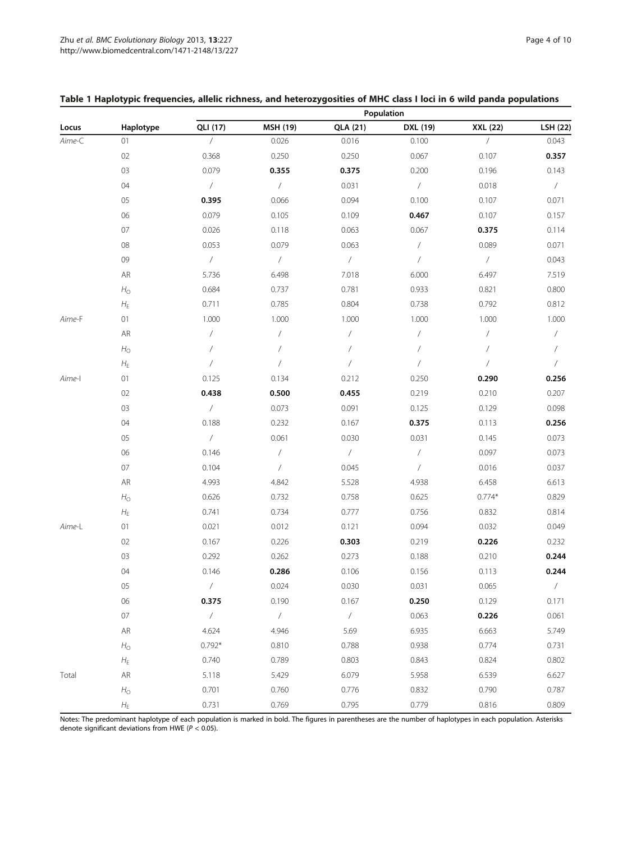|        |                 | Population               |                          |                |                          |                |               |  |
|--------|-----------------|--------------------------|--------------------------|----------------|--------------------------|----------------|---------------|--|
| Locus  | Haplotype       | QLI (17)                 | MSH (19)                 | QLA (21)       | DXL (19)                 | XXL (22)       | LSH (22)      |  |
| Aime-C | 01              | $\overline{1}$           | 0.026                    | 0.016          | 0.100                    | $\sqrt{2}$     | 0.043         |  |
|        | 02              | 0.368                    | 0.250                    | 0.250          | 0.067                    | 0.107          | 0.357         |  |
|        | 03              | 0.079                    | 0.355                    | 0.375          | 0.200                    | 0.196          | 0.143         |  |
|        | 04              | $\overline{ }$           | $\overline{ }$           | 0.031          | $\overline{ }$           | 0.018          | $\sqrt{2}$    |  |
|        | 05              | 0.395                    | 0.066                    | 0.094          | 0.100                    | 0.107          | 0.071         |  |
|        | 06              | 0.079                    | 0.105                    | 0.109          | 0.467                    | 0.107          | 0.157         |  |
|        | 07              | 0.026                    | 0.118                    | 0.063          | 0.067                    | 0.375          | 0.114         |  |
|        | 08              | 0.053                    | 0.079                    | 0.063          | $\sqrt{\phantom{a}}$     | 0.089          | 0.071         |  |
|        | 09              | $\overline{ }$           | $\overline{ }$           | $\overline{ }$ | $\sqrt{2}$               | $\overline{ }$ | 0.043         |  |
|        | ${\sf AR}$      | 5.736                    | 6.498                    | 7.018          | 6.000                    | 6.497          | 7.519         |  |
|        | $H_{\rm O}$     | 0.684                    | 0.737                    | 0.781          | 0.933                    | 0.821          | 0.800         |  |
|        | $H_{\mathsf E}$ | 0.711                    | 0.785                    | 0.804          | 0.738                    | 0.792          | 0.812         |  |
| Aime-F | $01$            | 1.000                    | 1.000                    | 1.000          | 1.000                    | 1.000          | 1.000         |  |
|        | ${\sf AR}$      | $\overline{ }$           | $\sqrt{2}$               | $\sqrt{2}$     | $\sqrt{2}$               | $\sqrt{2}$     | $\sqrt{2}$    |  |
|        | $H_{\rm O}$     | $\sqrt{2}$               | $\overline{1}$           | $\sqrt{2}$     | $\overline{1}$           | $\sqrt{2}$     | $\sqrt{2}$    |  |
|        | $H_{\mathsf E}$ | $\overline{\phantom{a}}$ | $\overline{\phantom{a}}$ | $\sqrt{2}$     | $\sqrt{2}$               | $\sqrt{2}$     | $\sqrt{2}$    |  |
| Aime-l | $01$            | 0.125                    | 0.134                    | 0.212          | 0.250                    | 0.290          | 0.256         |  |
|        | 02              | 0.438                    | 0.500                    | 0.455          | 0.219                    | 0.210          | 0.207         |  |
|        | 03              | $\overline{ }$           | 0.073                    | 0.091          | 0.125                    | 0.129          | 0.098         |  |
|        | 04              | 0.188                    | 0.232                    | 0.167          | 0.375                    | 0.113          | 0.256         |  |
|        | 05              | $\sqrt{2}$               | 0.061                    | 0.030          | 0.031                    | 0.145          | 0.073         |  |
|        | 06              | 0.146                    | $\overline{ }$           | $\overline{ }$ | $\overline{\phantom{a}}$ | 0.097          | 0.073         |  |
|        | $07$            | 0.104                    | $\overline{ }$           | 0.045          | $\sqrt{2}$               | 0.016          | 0.037         |  |
|        | AR              | 4.993                    | 4.842                    | 5.528          | 4.938                    | 6.458          | 6.613         |  |
|        | $H_{\rm O}$     | 0.626                    | 0.732                    | 0.758          | 0.625                    | $0.774*$       | 0.829         |  |
|        | $H_{\mathsf E}$ | 0.741                    | 0.734                    | 0.777          | 0.756                    | 0.832          | 0.814         |  |
| Aime-L | 01              | 0.021                    | 0.012                    | 0.121          | 0.094                    | 0.032          | 0.049         |  |
|        | 02              | 0.167                    | 0.226                    | 0.303          | 0.219                    | 0.226          | 0.232         |  |
|        | 03              | 0.292                    | 0.262                    | 0.273          | 0.188                    | 0.210          | 0.244         |  |
|        | 04              | 0.146                    | 0.286                    | 0.106          | 0.156                    | 0.113          | 0.244         |  |
|        | 05              | $\sqrt{2}$               | 0.024                    | 0.030          | 0.031                    | 0.065          | $\frac{1}{2}$ |  |
|        | 06              | 0.375                    | 0.190                    | 0.167          | 0.250                    | 0.129          | 0.171         |  |
|        | $07\,$          | $\overline{ }$           | $\sqrt{2}$               | $\sqrt{2}$     | 0.063                    | 0.226          | 0.061         |  |
|        | ${\sf AR}$      | 4.624                    | 4.946                    | 5.69           | 6.935                    | 6.663          | 5.749         |  |
|        | $H_{\rm O}$     | $0.792*$                 | 0.810                    | 0.788          | 0.938                    | 0.774          | 0.731         |  |
|        | $H_{\text{E}}$  | 0.740                    | 0.789                    | 0.803          | 0.843                    | 0.824          | 0.802         |  |
| Total  | ${\sf AR}$      | 5.118                    | 5.429                    | 6.079          | 5.958                    | 6.539          | 6.627         |  |
|        | $H_{\rm O}$     | 0.701                    | 0.760                    | 0.776          | 0.832                    | 0.790          | 0.787         |  |
|        | $H_{\mathsf E}$ | 0.731                    | 0.769                    | 0.795          | 0.779                    | 0.816          | 0.809         |  |

## <span id="page-3-0"></span>Table 1 Haplotypic frequencies, allelic richness, and heterozygosities of MHC class I loci in 6 wild panda populations

Notes: The predominant haplotype of each population is marked in bold. The figures in parentheses are the number of haplotypes in each population. Asterisks denote significant deviations from HWE ( $P < 0.05$ ).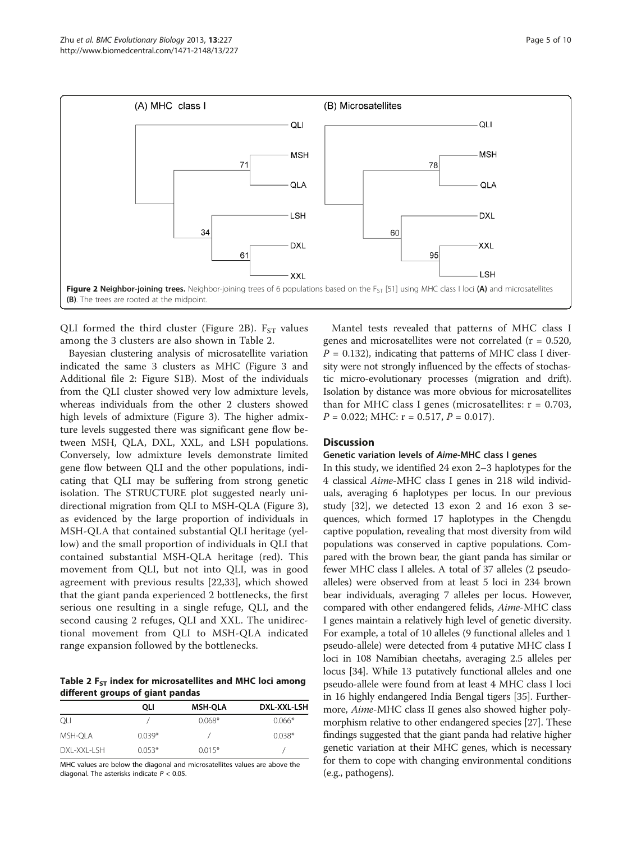<span id="page-4-0"></span>

QLI formed the third cluster (Figure 2B).  $F_{ST}$  values among the 3 clusters are also shown in Table 2.

Bayesian clustering analysis of microsatellite variation indicated the same 3 clusters as MHC (Figure [3](#page-5-0) and Additional file [2:](#page-8-0) Figure S1B). Most of the individuals from the QLI cluster showed very low admixture levels, whereas individuals from the other 2 clusters showed high levels of admixture (Figure [3\)](#page-5-0). The higher admixture levels suggested there was significant gene flow between MSH, QLA, DXL, XXL, and LSH populations. Conversely, low admixture levels demonstrate limited gene flow between QLI and the other populations, indicating that QLI may be suffering from strong genetic isolation. The STRUCTURE plot suggested nearly unidirectional migration from QLI to MSH-QLA (Figure [3](#page-5-0)), as evidenced by the large proportion of individuals in MSH-QLA that contained substantial QLI heritage (yellow) and the small proportion of individuals in QLI that contained substantial MSH-QLA heritage (red). This movement from QLI, but not into QLI, was in good agreement with previous results [\[22](#page-8-0),[33\]](#page-9-0), which showed that the giant panda experienced 2 bottlenecks, the first serious one resulting in a single refuge, QLI, and the second causing 2 refuges, QLI and XXL. The unidirectional movement from QLI to MSH-QLA indicated range expansion followed by the bottlenecks.

Table 2  $F_{ST}$  index for microsatellites and MHC loci among different groups of giant pandas

|                   | oli      | <b>MSH-QLA</b> | DXL-XXL-LSH |
|-------------------|----------|----------------|-------------|
| OLI               |          | $0.068*$       | $0.066*$    |
| MSH-QLA           | $0.039*$ |                | $0.038*$    |
| $DXI - XXI -I SH$ | $0.053*$ | $0.015*$       |             |

MHC values are below the diagonal and microsatellites values are above the diagonal. The asterisks indicate  $P < 0.05$ .

Mantel tests revealed that patterns of MHC class I genes and microsatellites were not correlated  $(r = 0.520,$  $P = 0.132$ ), indicating that patterns of MHC class I diversity were not strongly influenced by the effects of stochastic micro-evolutionary processes (migration and drift). Isolation by distance was more obvious for microsatellites than for MHC class I genes (microsatellites:  $r = 0.703$ ,  $P = 0.022$ ; MHC:  $r = 0.517$ ,  $P = 0.017$ ).

#### **Discussion**

#### Genetic variation levels of Aime-MHC class I genes

In this study, we identified 24 exon 2–3 haplotypes for the 4 classical Aime-MHC class I genes in 218 wild individuals, averaging 6 haplotypes per locus. In our previous study [\[32\]](#page-9-0), we detected 13 exon 2 and 16 exon 3 sequences, which formed 17 haplotypes in the Chengdu captive population, revealing that most diversity from wild populations was conserved in captive populations. Compared with the brown bear, the giant panda has similar or fewer MHC class I alleles. A total of 37 alleles (2 pseudoalleles) were observed from at least 5 loci in 234 brown bear individuals, averaging 7 alleles per locus. However, compared with other endangered felids, Aime-MHC class I genes maintain a relatively high level of genetic diversity. For example, a total of 10 alleles (9 functional alleles and 1 pseudo-allele) were detected from 4 putative MHC class I loci in 108 Namibian cheetahs, averaging 2.5 alleles per locus [\[34\]](#page-9-0). While 13 putatively functional alleles and one pseudo-allele were found from at least 4 MHC class I loci in 16 highly endangered India Bengal tigers [\[35\]](#page-9-0). Furthermore, Aime-MHC class II genes also showed higher polymorphism relative to other endangered species [\[27\]](#page-8-0). These findings suggested that the giant panda had relative higher genetic variation at their MHC genes, which is necessary for them to cope with changing environmental conditions (e.g., pathogens).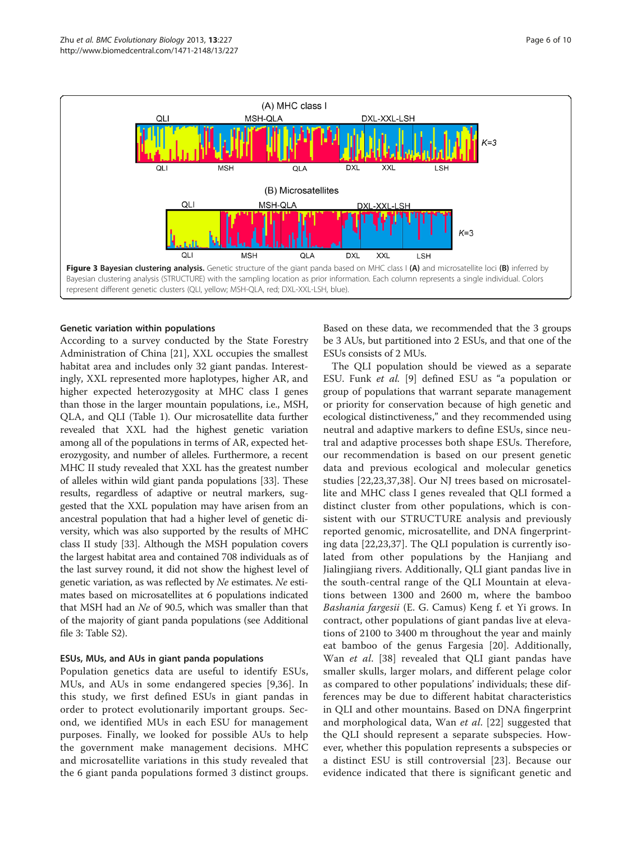<span id="page-5-0"></span>

## Genetic variation within populations

According to a survey conducted by the State Forestry Administration of China [\[21](#page-8-0)], XXL occupies the smallest habitat area and includes only 32 giant pandas. Interestingly, XXL represented more haplotypes, higher AR, and higher expected heterozygosity at MHC class I genes than those in the larger mountain populations, i.e., MSH, QLA, and QLI (Table [1](#page-3-0)). Our microsatellite data further revealed that XXL had the highest genetic variation among all of the populations in terms of AR, expected heterozygosity, and number of alleles. Furthermore, a recent MHC II study revealed that XXL has the greatest number of alleles within wild giant panda populations [\[33](#page-9-0)]. These results, regardless of adaptive or neutral markers, suggested that the XXL population may have arisen from an ancestral population that had a higher level of genetic diversity, which was also supported by the results of MHC class II study [\[33\]](#page-9-0). Although the MSH population covers the largest habitat area and contained 708 individuals as of the last survey round, it did not show the highest level of genetic variation, as was reflected by Ne estimates. Ne estimates based on microsatellites at 6 populations indicated that MSH had an Ne of 90.5, which was smaller than that of the majority of giant panda populations (see Additional file [3](#page-8-0): Table S2).

## ESUs, MUs, and AUs in giant panda populations

Population genetics data are useful to identify ESUs, MUs, and AUs in some endangered species [9,36]. In this study, we first defined ESUs in giant pandas in order to protect evolutionarily important groups. Second, we identified MUs in each ESU for management purposes. Finally, we looked for possible AUs to help the government make management decisions. MHC and microsatellite variations in this study revealed that the 6 giant panda populations formed 3 distinct groups.

Based on these data, we recommended that the 3 groups be 3 AUs, but partitioned into 2 ESUs, and that one of the ESUs consists of 2 MUs.

The QLI population should be viewed as a separate ESU. Funk et al. [\[9\]](#page-8-0) defined ESU as "a population or group of populations that warrant separate management or priority for conservation because of high genetic and ecological distinctiveness," and they recommended using neutral and adaptive markers to define ESUs, since neutral and adaptive processes both shape ESUs. Therefore, our recommendation is based on our present genetic data and previous ecological and molecular genetics studies [[22,23](#page-8-0)[,37](#page-9-0),[38\]](#page-9-0). Our NJ trees based on microsatellite and MHC class I genes revealed that QLI formed a distinct cluster from other populations, which is consistent with our STRUCTURE analysis and previously reported genomic, microsatellite, and DNA fingerprinting data [[22,23](#page-8-0),[37\]](#page-9-0). The QLI population is currently isolated from other populations by the Hanjiang and Jialingjiang rivers. Additionally, QLI giant pandas live in the south-central range of the QLI Mountain at elevations between 1300 and 2600 m, where the bamboo Bashania fargesii (E. G. Camus) Keng f. et Yi grows. In contract, other populations of giant pandas live at elevations of 2100 to 3400 m throughout the year and mainly eat bamboo of the genus Fargesia [\[20](#page-8-0)]. Additionally, Wan et al. [\[38](#page-9-0)] revealed that QLI giant pandas have smaller skulls, larger molars, and different pelage color as compared to other populations' individuals; these differences may be due to different habitat characteristics in QLI and other mountains. Based on DNA fingerprint and morphological data, Wan et al. [[22\]](#page-8-0) suggested that the QLI should represent a separate subspecies. However, whether this population represents a subspecies or a distinct ESU is still controversial [[23\]](#page-8-0). Because our evidence indicated that there is significant genetic and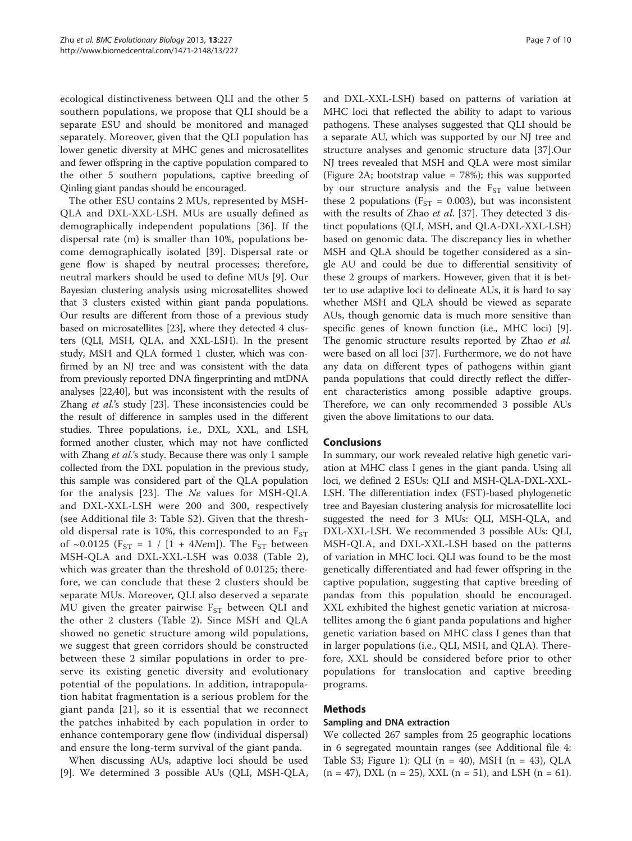ecological distinctiveness between QLI and the other 5 southern populations, we propose that QLI should be a separate ESU and should be monitored and managed separately. Moreover, given that the QLI population has lower genetic diversity at MHC genes and microsatellites and fewer offspring in the captive population compared to the other 5 southern populations, captive breeding of Qinling giant pandas should be encouraged.

The other ESU contains 2 MUs, represented by MSH-QLA and DXL-XXL-LSH. MUs are usually defined as demographically independent populations [[36](#page-9-0)]. If the dispersal rate (m) is smaller than 10%, populations become demographically isolated [\[39](#page-9-0)]. Dispersal rate or gene flow is shaped by neutral processes; therefore, neutral markers should be used to define MUs [[9\]](#page-8-0). Our Bayesian clustering analysis using microsatellites showed that 3 clusters existed within giant panda populations. Our results are different from those of a previous study based on microsatellites [\[23\]](#page-8-0), where they detected 4 clusters (QLI, MSH, QLA, and XXL-LSH). In the present study, MSH and QLA formed 1 cluster, which was confirmed by an NJ tree and was consistent with the data from previously reported DNA fingerprinting and mtDNA analyses [\[22,](#page-8-0)[40](#page-9-0)], but was inconsistent with the results of Zhang et al.'s study [[23](#page-8-0)]. These inconsistencies could be the result of difference in samples used in the different studies. Three populations, i.e., DXL, XXL, and LSH, formed another cluster, which may not have conflicted with Zhang et al.'s study. Because there was only 1 sample collected from the DXL population in the previous study, this sample was considered part of the QLA population for the analysis [\[23\]](#page-8-0). The Ne values for MSH-QLA and DXL-XXL-LSH were 200 and 300, respectively (see Additional file [3](#page-8-0): Table S2). Given that the threshold dispersal rate is 10%, this corresponded to an  $F_{ST}$ of ~0.0125 ( $F_{ST}$  = 1 / [1 + 4Nem]). The  $F_{ST}$  between MSH-QLA and DXL-XXL-LSH was 0.038 (Table [2](#page-4-0)), which was greater than the threshold of 0.0125; therefore, we can conclude that these 2 clusters should be separate MUs. Moreover, QLI also deserved a separate MU given the greater pairwise  $F_{ST}$  between QLI and the other 2 clusters (Table [2\)](#page-4-0). Since MSH and QLA showed no genetic structure among wild populations, we suggest that green corridors should be constructed between these 2 similar populations in order to preserve its existing genetic diversity and evolutionary potential of the populations. In addition, intrapopulation habitat fragmentation is a serious problem for the giant panda [\[21\]](#page-8-0), so it is essential that we reconnect the patches inhabited by each population in order to enhance contemporary gene flow (individual dispersal) and ensure the long-term survival of the giant panda.

When discussing AUs, adaptive loci should be used [[9\]](#page-8-0). We determined 3 possible AUs (QLI, MSH-QLA,

and DXL-XXL-LSH) based on patterns of variation at MHC loci that reflected the ability to adapt to various pathogens. These analyses suggested that QLI should be a separate AU, which was supported by our NJ tree and structure analyses and genomic structure data [[37\]](#page-9-0).Our NJ trees revealed that MSH and QLA were most similar (Figure [2A](#page-4-0); bootstrap value = 78%); this was supported by our structure analysis and the  $F_{ST}$  value between these 2 populations ( $F_{ST} = 0.003$ ), but was inconsistent with the results of Zhao et al. [\[37\]](#page-9-0). They detected 3 distinct populations (QLI, MSH, and QLA-DXL-XXL-LSH) based on genomic data. The discrepancy lies in whether MSH and QLA should be together considered as a single AU and could be due to differential sensitivity of these 2 groups of markers. However, given that it is better to use adaptive loci to delineate AUs, it is hard to say whether MSH and QLA should be viewed as separate AUs, though genomic data is much more sensitive than specific genes of known function (i.e., MHC loci) [\[9](#page-8-0)]. The genomic structure results reported by Zhao et al. were based on all loci [\[37\]](#page-9-0). Furthermore, we do not have any data on different types of pathogens within giant panda populations that could directly reflect the different characteristics among possible adaptive groups. Therefore, we can only recommended 3 possible AUs given the above limitations to our data.

## **Conclusions**

In summary, our work revealed relative high genetic variation at MHC class I genes in the giant panda. Using all loci, we defined 2 ESUs: QLI and MSH-QLA-DXL-XXL-LSH. The differentiation index (FST)-based phylogenetic tree and Bayesian clustering analysis for microsatellite loci suggested the need for 3 MUs: QLI, MSH-QLA, and DXL-XXL-LSH. We recommended 3 possible AUs: QLI, MSH-QLA, and DXL-XXL-LSH based on the patterns of variation in MHC loci. QLI was found to be the most genetically differentiated and had fewer offspring in the captive population, suggesting that captive breeding of pandas from this population should be encouraged. XXL exhibited the highest genetic variation at microsatellites among the 6 giant panda populations and higher genetic variation based on MHC class I genes than that in larger populations (i.e., QLI, MSH, and QLA). Therefore, XXL should be considered before prior to other populations for translocation and captive breeding programs.

## Methods

## Sampling and DNA extraction

We collected 267 samples from 25 geographic locations in 6 segregated mountain ranges (see Additional file [4](#page-8-0): Table S3; Figure [1](#page-2-0)): QLI (n = 40), MSH (n = 43), QLA  $(n = 47)$ , DXL  $(n = 25)$ , XXL  $(n = 51)$ , and LSH  $(n = 61)$ .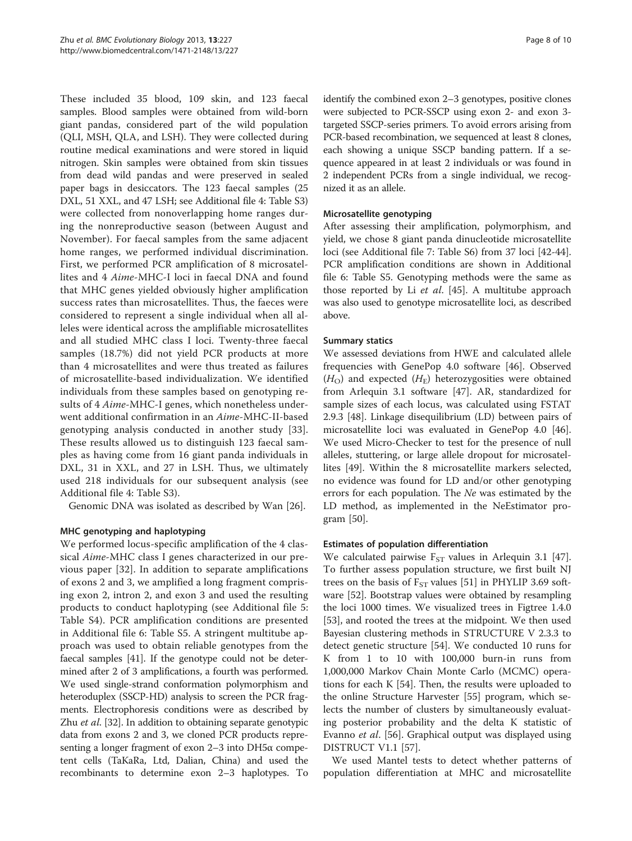These included 35 blood, 109 skin, and 123 faecal samples. Blood samples were obtained from wild-born giant pandas, considered part of the wild population (QLI, MSH, QLA, and LSH). They were collected during routine medical examinations and were stored in liquid nitrogen. Skin samples were obtained from skin tissues from dead wild pandas and were preserved in sealed paper bags in desiccators. The 123 faecal samples (25 DXL, 51 XXL, and 47 LSH; see Additional file [4:](#page-8-0) Table S3) were collected from nonoverlapping home ranges during the nonreproductive season (between August and November). For faecal samples from the same adjacent home ranges, we performed individual discrimination. First, we performed PCR amplification of 8 microsatellites and 4 Aime-MHC-I loci in faecal DNA and found that MHC genes yielded obviously higher amplification success rates than microsatellites. Thus, the faeces were considered to represent a single individual when all alleles were identical across the amplifiable microsatellites and all studied MHC class I loci. Twenty-three faecal samples (18.7%) did not yield PCR products at more than 4 microsatellites and were thus treated as failures of microsatellite-based individualization. We identified individuals from these samples based on genotyping results of 4 Aime-MHC-I genes, which nonetheless underwent additional confirmation in an Aime-MHC-II-based genotyping analysis conducted in another study [[33](#page-9-0)]. These results allowed us to distinguish 123 faecal samples as having come from 16 giant panda individuals in DXL, 31 in XXL, and 27 in LSH. Thus, we ultimately used 218 individuals for our subsequent analysis (see Additional file [4:](#page-8-0) Table S3).

Genomic DNA was isolated as described by Wan [[26\]](#page-8-0).

## MHC genotyping and haplotyping

We performed locus-specific amplification of the 4 classical Aime-MHC class I genes characterized in our previous paper [\[32](#page-9-0)]. In addition to separate amplifications of exons 2 and 3, we amplified a long fragment comprising exon 2, intron 2, and exon 3 and used the resulting products to conduct haplotyping (see Additional file [5](#page-8-0): Table S4). PCR amplification conditions are presented in Additional file [6](#page-8-0): Table S5. A stringent multitube approach was used to obtain reliable genotypes from the faecal samples [[41](#page-9-0)]. If the genotype could not be determined after 2 of 3 amplifications, a fourth was performed. We used single-strand conformation polymorphism and heteroduplex (SSCP-HD) analysis to screen the PCR fragments. Electrophoresis conditions were as described by Zhu et al. [\[32](#page-9-0)]. In addition to obtaining separate genotypic data from exons 2 and 3, we cloned PCR products representing a longer fragment of exon  $2-3$  into DH5 $\alpha$  competent cells (TaKaRa, Ltd, Dalian, China) and used the recombinants to determine exon 2–3 haplotypes. To identify the combined exon 2–3 genotypes, positive clones were subjected to PCR-SSCP using exon 2- and exon 3 targeted SSCP-series primers. To avoid errors arising from PCR-based recombination, we sequenced at least 8 clones, each showing a unique SSCP banding pattern. If a sequence appeared in at least 2 individuals or was found in 2 independent PCRs from a single individual, we recognized it as an allele.

## Microsatellite genotyping

After assessing their amplification, polymorphism, and yield, we chose 8 giant panda dinucleotide microsatellite loci (see Additional file [7](#page-8-0): Table S6) from 37 loci [\[42-44](#page-9-0)]. PCR amplification conditions are shown in Additional file [6](#page-8-0): Table S5. Genotyping methods were the same as those reported by Li et al. [[45\]](#page-9-0). A multitube approach was also used to genotype microsatellite loci, as described above.

## Summary statics

We assessed deviations from HWE and calculated allele frequencies with GenePop 4.0 software [[46](#page-9-0)]. Observed  $(H<sub>O</sub>)$  and expected  $(H<sub>E</sub>)$  heterozygosities were obtained from Arlequin 3.1 software [[47\]](#page-9-0). AR, standardized for sample sizes of each locus, was calculated using FSTAT 2.9.3 [[48](#page-9-0)]. Linkage disequilibrium (LD) between pairs of microsatellite loci was evaluated in GenePop 4.0 [\[46](#page-9-0)]. We used Micro-Checker to test for the presence of null alleles, stuttering, or large allele dropout for microsatellites [[49](#page-9-0)]. Within the 8 microsatellite markers selected, no evidence was found for LD and/or other genotyping errors for each population. The Ne was estimated by the LD method, as implemented in the NeEstimator program [[50\]](#page-9-0).

## Estimates of population differentiation

We calculated pairwise  $F_{ST}$  values in Arlequin 3.1 [\[47](#page-9-0)]. To further assess population structure, we first built NJ trees on the basis of  $F_{ST}$  values [\[51\]](#page-9-0) in PHYLIP 3.69 software [\[52](#page-9-0)]. Bootstrap values were obtained by resampling the loci 1000 times. We visualized trees in Figtree 1.4.0 [[53\]](#page-9-0), and rooted the trees at the midpoint. We then used Bayesian clustering methods in STRUCTURE V 2.3.3 to detect genetic structure [\[54\]](#page-9-0). We conducted 10 runs for K from 1 to 10 with 100,000 burn-in runs from 1,000,000 Markov Chain Monte Carlo (MCMC) operations for each K [[54\]](#page-9-0). Then, the results were uploaded to the online Structure Harvester [\[55](#page-9-0)] program, which selects the number of clusters by simultaneously evaluating posterior probability and the delta K statistic of Evanno et al. [\[56](#page-9-0)]. Graphical output was displayed using DISTRUCT V1.1 [\[57](#page-9-0)].

We used Mantel tests to detect whether patterns of population differentiation at MHC and microsatellite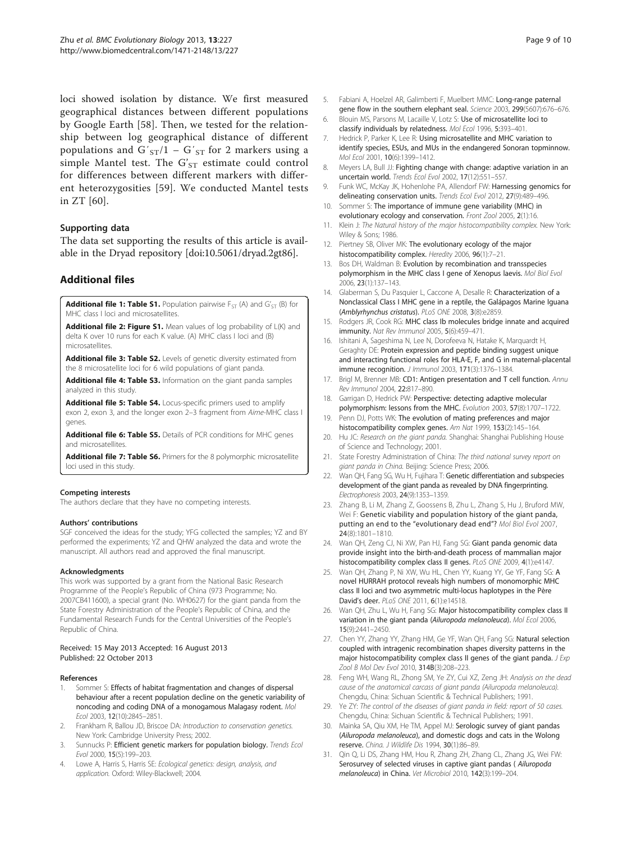<span id="page-8-0"></span>loci showed isolation by distance. We first measured geographical distances between different populations by Google Earth [[58\]](#page-9-0). Then, we tested for the relationship between log geographical distance of different populations and  $G'_{ST}/1 - G'_{ST}$  for 2 markers using a simple Mantel test. The  $G'_{ST}$  estimate could control for differences between different markers with different heterozygosities [[59\]](#page-9-0). We conducted Mantel tests in ZT [[60](#page-9-0)].

#### Supporting data

The data set supporting the results of this article is available in the Dryad repository [doi:10.5061/dryad.2gt86].

## Additional files

**[Additional file 1: Table S1.](http://www.biomedcentral.com/content/supplementary/1471-2148-13-227-S1.doc)** Population pairwise  $F_{ST}$  (A) and  $G'_{ST}$  (B) for MHC class I loci and microsatellites.

[Additional file 2: Figure S1.](http://www.biomedcentral.com/content/supplementary/1471-2148-13-227-S2.doc) Mean values of log probability of L(K) and delta K over 10 runs for each K value. (A) MHC class I loci and (B) microsatellites.

[Additional file 3: Table S2.](http://www.biomedcentral.com/content/supplementary/1471-2148-13-227-S3.doc) Levels of genetic diversity estimated from the 8 microsatellite loci for 6 wild populations of giant panda.

[Additional file 4: Table S3.](http://www.biomedcentral.com/content/supplementary/1471-2148-13-227-S4.doc) Information on the giant panda samples analyzed in this study.

[Additional file 5: Table S4.](http://www.biomedcentral.com/content/supplementary/1471-2148-13-227-S5.doc) Locus-specific primers used to amplify exon 2, exon 3, and the longer exon 2–3 fragment from Aime-MHC class I genes.

[Additional file 6: Table S5.](http://www.biomedcentral.com/content/supplementary/1471-2148-13-227-S6.doc) Details of PCR conditions for MHC genes and microsatellites.

[Additional file 7: Table S6.](http://www.biomedcentral.com/content/supplementary/1471-2148-13-227-S7.doc) Primers for the 8 polymorphic microsatellite loci used in this study.

#### Competing interests

The authors declare that they have no competing interests.

#### Authors' contributions

SGF conceived the ideas for the study; YFG collected the samples; YZ and BY performed the experiments; YZ and QHW analyzed the data and wrote the manuscript. All authors read and approved the final manuscript.

#### **Acknowledaments**

This work was supported by a grant from the National Basic Research Programme of the People's Republic of China (973 Programme; No. 2007CB411600), a special grant (No. WH0627) for the giant panda from the State Forestry Administration of the People's Republic of China, and the Fundamental Research Funds for the Central Universities of the People's Republic of China.

#### Received: 15 May 2013 Accepted: 16 August 2013 Published: 22 October 2013

#### References

- Sommer S: Effects of habitat fragmentation and changes of dispersal behaviour after a recent population decline on the genetic variability of noncoding and coding DNA of a monogamous Malagasy rodent. Mol Ecol 2003, 12(10):2845–2851.
- Frankham R, Ballou JD, Briscoe DA: Introduction to conservation genetics. New York: Cambridge University Press; 2002.
- Sunnucks P: Efficient genetic markers for population biology. Trends Ecol Evol 2000, 15(5):199–203.
- 4. Lowe A, Harris S, Harris SE: Ecological genetics: design, analysis, and application. Oxford: Wiley-Blackwell; 2004.
- 5. Fabiani A, Hoelzel AR, Galimberti F, Muelbert MMC: Long-range paternal gene flow in the southern elephant seal. Science 2003, 299(5607):676–676.
- 6. Blouin MS, Parsons M, Lacaille V, Lotz S: Use of microsatellite loci to classify individuals by relatedness. Mol Ecol 1996, 5:393–401.
- 7. Hedrick P, Parker K, Lee R: Using microsatellite and MHC variation to identify species, ESUs, and MUs in the endangered Sonoran topminnow. Mol Ecol 2001, 10(6):1399–1412.
- 8. Meyers LA, Bull JJ: Fighting change with change: adaptive variation in an uncertain world. Trends Ecol Evol 2002, 17(12):551–557.
- 9. Funk WC, McKay JK, Hohenlohe PA, Allendorf FW: Harnessing genomics for delineating conservation units. Trends Ecol Evol 2012, 27(9):489-496.
- 10. Sommer S: The importance of immune gene variability (MHC) in evolutionary ecology and conservation. Front Zool 2005, 2(1):16.
- 11. Klein J: The Natural history of the major histocompatibility complex. New York: Wiley & Sons; 1986.
- 12. Piertney SB, Oliver MK: The evolutionary ecology of the major histocompatibility complex. Heredity 2006, 96(1):7-21.
- 13. Bos DH, Waldman B: Evolution by recombination and transspecies polymorphism in the MHC class I gene of Xenopus laevis. Mol Biol Evol 2006, 23(1):137–143.
- 14. Glaberman S, Du Pasquier L, Caccone A, Desalle R: Characterization of a Nonclassical Class I MHC gene in a reptile, the Galápagos Marine Iguana (Amblyrhynchus cristatus). PLoS ONE 2008, 3(8):e2859.
- 15. Rodgers JR, Cook RG: MHC class Ib molecules bridge innate and acquired immunity. Nat Rev Immunol 2005, 5(6):459–471.
- 16. Ishitani A, Sageshima N, Lee N, Dorofeeva N, Hatake K, Marquardt H, Geraghty DE: Protein expression and peptide binding suggest unique and interacting functional roles for HLA-E, F, and G in maternal-placental immune recognition. J Immunol 2003, 171(3):1376–1384.
- 17. Brigl M, Brenner MB: CD1: Antigen presentation and T cell function. Annu Rev Immunol 2004, 22:817–890.
- 18. Garrigan D, Hedrick PW: Perspective: detecting adaptive molecular polymorphism: lessons from the MHC. Evolution 2003, 57(8):1707–1722.
- 19. Penn DJ, Potts WK: The evolution of mating preferences and major histocompatibility complex genes. Am Nat 1999, 153(2):145–164.
- 20. Hu JC: Research on the giant panda. Shanghai: Shanghai Publishing House of Science and Technology; 2001.
- 21. State Forestry Administration of China: The third national survey report on giant panda in China. Beijing: Science Press; 2006.
- 22. Wan QH, Fang SG, Wu H, Fujihara T: Genetic differentiation and subspecies development of the giant panda as revealed by DNA fingerprinting. Electrophoresis 2003, 24(9):1353–1359.
- 23. Zhang B, Li M, Zhang Z, Goossens B, Zhu L, Zhang S, Hu J, Bruford MW, Wei F: Genetic viability and population history of the giant panda, putting an end to the "evolutionary dead end"? Mol Biol Evol 2007, 24(8):1801–1810.
- 24. Wan QH, Zeng CJ, Ni XW, Pan HJ, Fang SG: Giant panda genomic data provide insight into the birth-and-death process of mammalian major histocompatibility complex class II genes. PLoS ONE 2009, 4(1):e4147.
- 25. Wan QH, Zhang P, Ni XW, Wu HL, Chen YY, Kuang YY, Ge YF, Fang SG: A novel HURRAH protocol reveals high numbers of monomorphic MHC class II loci and two asymmetric multi-locus haplotypes in the Père David's deer. PLoS ONE 2011, 6(1):e14518.
- 26. Wan QH, Zhu L, Wu H, Fang SG: Major histocompatibility complex class II variation in the giant panda (Ailuropoda melanoleuca). Mol Ecol 2006, 15(9):2441–2450.
- 27. Chen YY, Zhang YY, Zhang HM, Ge YF, Wan QH, Fang SG: Natural selection coupled with intragenic recombination shapes diversity patterns in the major histocompatibility complex class II genes of the giant panda.  $J \, Exp$ Zool B Mol Dev Evol 2010, 314B(3):208–223.
- 28. Feng WH, Wang RL, Zhong SM, Ye ZY, Cui XZ, Zeng JH: Analysis on the dead cause of the anatomical carcass of giant panda (Ailuropoda melanoleuca). Chengdu, China: Sichuan Scientific & Technical Publishers; 1991.
- 29. Ye ZY: The control of the diseases of giant panda in field: report of 50 cases. Chengdu, China: Sichuan Scientific & Technical Publishers; 1991.
- 30. Mainka SA, Qiu XM, He TM, Appel MJ: Serologic survey of giant pandas (Ailuropoda melanoleuca), and domestic dogs and cats in the Wolong reserve. China. J Wildlife Dis 1994, 30(1):86–89.
- 31. Qin Q, Li DS, Zhang HM, Hou R, Zhang ZH, Zhang CL, Zhang JG, Wei FW: Serosurvey of selected viruses in captive giant pandas ( Ailuropoda melanoleuca) in China. Vet Microbiol 2010, 142(3):199–204.